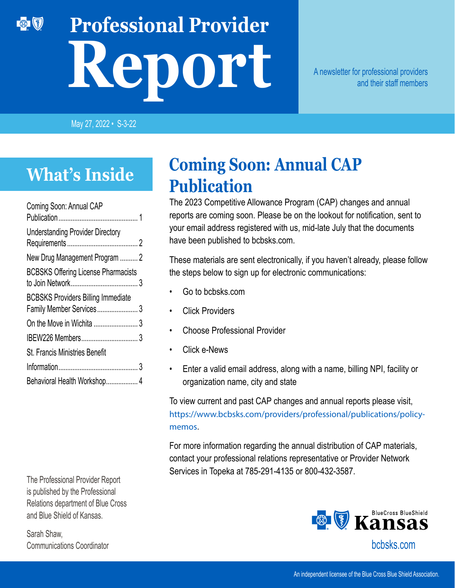# **Professional Provider Report**

A newsletter for professional providers and their staff members

May 27, 2022 • S-3-22

## **What's Inside**

【参】 【多】

| Coming Soon: Annual CAP                                               |  |
|-----------------------------------------------------------------------|--|
| <b>Understanding Provider Directory</b>                               |  |
| New Drug Management Program  2                                        |  |
| <b>BCBSKS Offering License Pharmacists</b>                            |  |
| <b>BCBSKS Providers Billing Immediate</b><br>Family Member Services 3 |  |
|                                                                       |  |
|                                                                       |  |
| <b>St. Francis Ministries Benefit</b>                                 |  |
|                                                                       |  |
| Behavioral Health Workshop 4                                          |  |

The Professional Provider Report is published by the Professional Relations department of Blue Cross and Blue Shield of Kansas.

Sarah Shaw, Communications Coordinator

#### **Coming Soon: Annual CAP Publication**

The 2023 Competitive Allowance Program (CAP) changes and annual reports are coming soon. Please be on the lookout for notification, sent to your email address registered with us, mid-late July that the documents have been published to bcbsks.com.

These materials are sent electronically, if you haven't already, please follow the steps below to sign up for electronic communications:

- Go to bcbsks.com
- **Click Providers**
- Choose Professional Provider
- Click e-News
- Enter a valid email address, along with a name, billing NPI, facility or organization name, city and state

To view current and past CAP changes and annual reports please visit, [https://www.bcbsks.com/providers/professional/publications/policy](https://www.bcbsks.com/providers/professional/publications/policy-memos)[memos](https://www.bcbsks.com/providers/professional/publications/policy-memos).

For more information regarding the annual distribution of CAP materials, contact your professional relations representative or Provider Network Services in Topeka at 785-291-4135 or 800-432-3587.

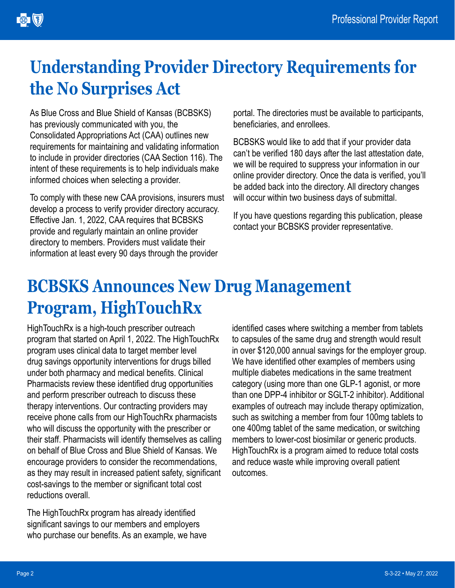# <span id="page-1-0"></span>**Understanding Provider Directory Requirements for the No Surprises Act**

As Blue Cross and Blue Shield of Kansas (BCBSKS) has previously communicated with you, the Consolidated Appropriations Act (CAA) outlines new requirements for maintaining and validating information to include in provider directories (CAA Section 116). The intent of these requirements is to help individuals make informed choices when selecting a provider.

To comply with these new CAA provisions, insurers must develop a process to verify provider directory accuracy. Effective Jan. 1, 2022, CAA requires that BCBSKS provide and regularly maintain an online provider directory to members. Providers must validate their information at least every 90 days through the provider

portal. The directories must be available to participants, beneficiaries, and enrollees.

BCBSKS would like to add that if your provider data can't be verified 180 days after the last attestation date, we will be required to suppress your information in our online provider directory. Once the data is verified, you'll be added back into the directory. All directory changes will occur within two business days of submittal.

If you have questions regarding this publication, please contact your BCBSKS provider representative.

## **BCBSKS Announces New Drug Management Program, HighTouchRx**

HighTouchRx is a high-touch prescriber outreach program that started on April 1, 2022. The HighTouchRx program uses clinical data to target member level drug savings opportunity interventions for drugs billed under both pharmacy and medical benefits. Clinical Pharmacists review these identified drug opportunities and perform prescriber outreach to discuss these therapy interventions. Our contracting providers may receive phone calls from our HighTouchRx pharmacists who will discuss the opportunity with the prescriber or their staff. Pharmacists will identify themselves as calling on behalf of Blue Cross and Blue Shield of Kansas. We encourage providers to consider the recommendations, as they may result in increased patient safety, significant cost-savings to the member or significant total cost reductions overall.

The HighTouchRx program has already identified significant savings to our members and employers who purchase our benefits. As an example, we have identified cases where switching a member from tablets to capsules of the same drug and strength would result in over \$120,000 annual savings for the employer group. We have identified other examples of members using multiple diabetes medications in the same treatment category (using more than one GLP-1 agonist, or more than one DPP-4 inhibitor or SGLT-2 inhibitor). Additional examples of outreach may include therapy optimization, such as switching a member from four 100mg tablets to one 400mg tablet of the same medication, or switching members to lower-cost biosimilar or generic products. HighTouchRx is a program aimed to reduce total costs and reduce waste while improving overall patient outcomes.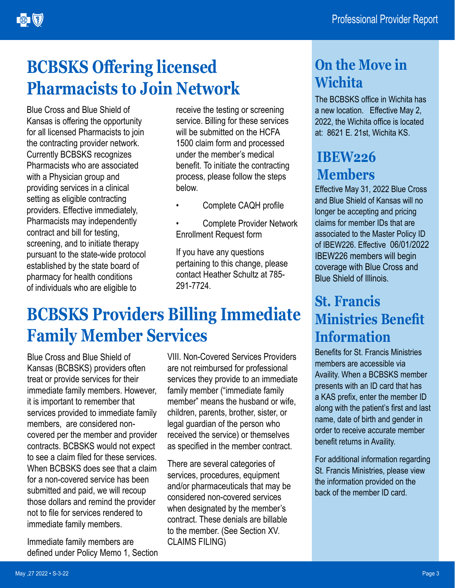## <span id="page-2-0"></span>**BCBSKS Offering licensed Pharmacists to Join Network**

Blue Cross and Blue Shield of Kansas is offering the opportunity for all licensed Pharmacists to join the contracting provider network. Currently BCBSKS recognizes Pharmacists who are associated with a Physician group and providing services in a clinical setting as eligible contracting providers. Effective immediately, Pharmacists may independently contract and bill for testing, screening, and to initiate therapy pursuant to the state-wide protocol established by the state board of pharmacy for health conditions of individuals who are eligible to

receive the testing or screening service. Billing for these services will be submitted on the HCFA 1500 claim form and processed under the member's medical benefit. To initiate the contracting process, please follow the steps below.

- Complete CAQH profile
- Complete Provider Network Enrollment Request form

If you have any questions pertaining to this change, please contact Heather Schultz at 785- 291-7724.

## **BCBSKS Providers Billing Immediate Family Member Services**

Blue Cross and Blue Shield of Kansas (BCBSKS) providers often treat or provide services for their immediate family members. However, it is important to remember that services provided to immediate family members, are considered noncovered per the member and provider contracts. BCBSKS would not expect to see a claim filed for these services. When BCBSKS does see that a claim for a non-covered service has been submitted and paid, we will recoup those dollars and remind the provider not to file for services rendered to immediate family members.

Immediate family members are defined under Policy Memo 1, Section

VIII. Non-Covered Services Providers are not reimbursed for professional services they provide to an immediate family member ("immediate family member" means the husband or wife, children, parents, brother, sister, or legal guardian of the person who received the service) or themselves as specified in the member contract.

There are several categories of services, procedures, equipment and/or pharmaceuticals that may be considered non-covered services when designated by the member's contract. These denials are billable to the member. (See Section XV. CLAIMS FILING)

#### **On the Move in Wichita**

The BCBSKS office in Wichita has a new location. Effective May 2, 2022, the Wichita office is located at: 8621 E. 21st, Wichita KS.

#### **IBEW226 Members**

Effective May 31, 2022 Blue Cross and Blue Shield of Kansas will no longer be accepting and pricing claims for member IDs that are associated to the Master Policy ID of IBEW226. Effective 06/01/2022 IBEW226 members will begin coverage with Blue Cross and Blue Shield of Illinois.

#### **St. Francis Ministries Benefit Information**

Benefits for St. Francis Ministries members are accessible via Availity. When a BCBSKS member presents with an ID card that has a KAS prefix, enter the member ID along with the patient's first and last name, date of birth and gender in order to receive accurate member benefit returns in Availity.

For additional information regarding St. Francis Ministries, please view the information provided on the back of the member ID card.